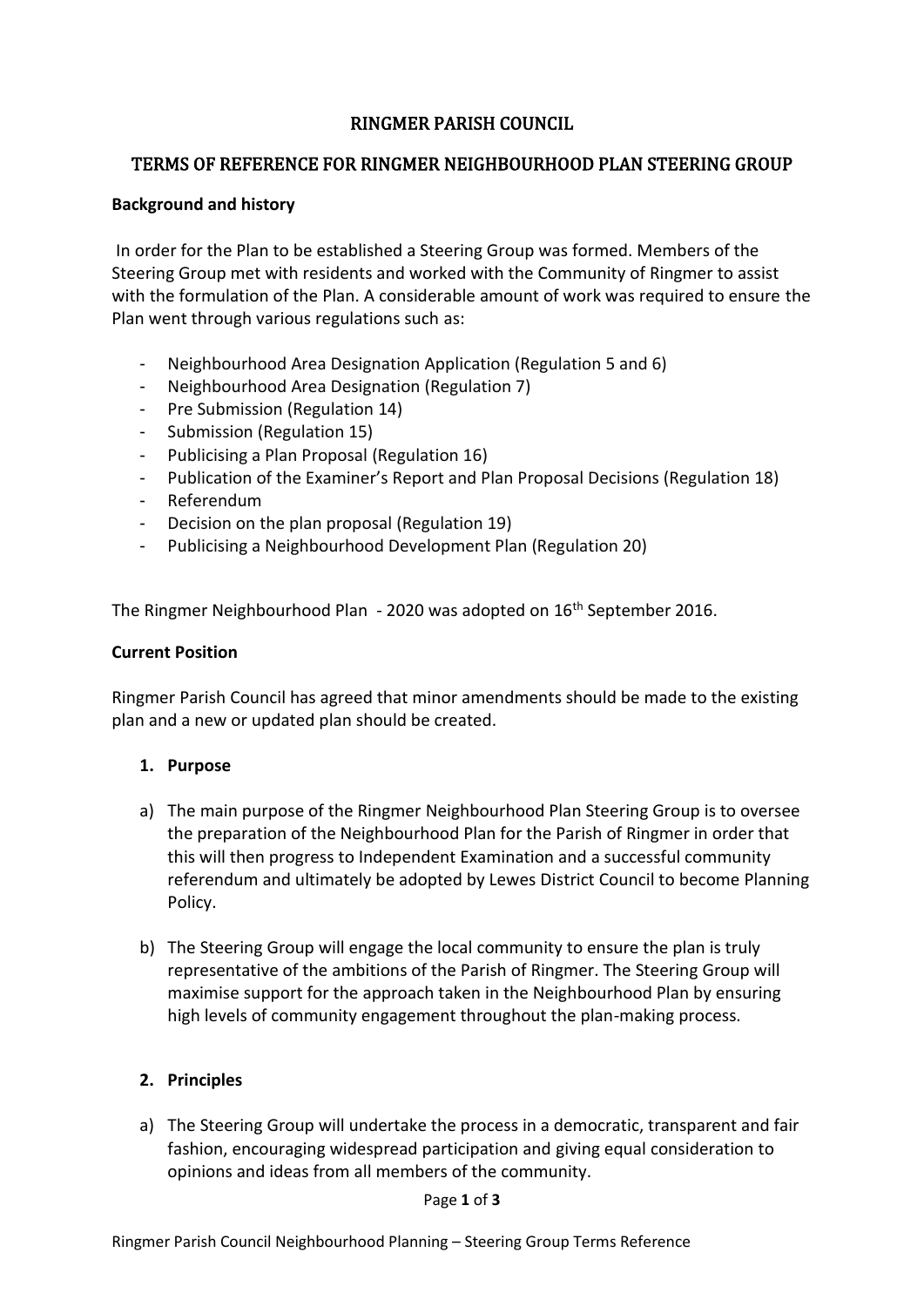# RINGMER PARISH COUNCIL

### TERMS OF REFERENCE FOR RINGMER NEIGHBOURHOOD PLAN STEERING GROUP

### **Background and history**

In order for the Plan to be established a Steering Group was formed. Members of the Steering Group met with residents and worked with the Community of Ringmer to assist with the formulation of the Plan. A considerable amount of work was required to ensure the Plan went through various regulations such as:

- Neighbourhood Area Designation Application (Regulation 5 and 6)
- Neighbourhood Area Designation (Regulation 7)
- Pre Submission (Regulation 14)
- Submission (Regulation 15)
- Publicising a Plan Proposal (Regulation 16)
- Publication of the Examiner's Report and Plan Proposal Decisions (Regulation 18)
- Referendum
- Decision on the plan proposal (Regulation 19)
- Publicising a Neighbourhood Development Plan (Regulation 20)

The Ringmer Neighbourhood Plan - 2020 was adopted on 16<sup>th</sup> September 2016.

#### **Current Position**

Ringmer Parish Council has agreed that minor amendments should be made to the existing plan and a new or updated plan should be created.

#### **1. Purpose**

- a) The main purpose of the Ringmer Neighbourhood Plan Steering Group is to oversee the preparation of the Neighbourhood Plan for the Parish of Ringmer in order that this will then progress to Independent Examination and a successful community referendum and ultimately be adopted by Lewes District Council to become Planning Policy.
- b) The Steering Group will engage the local community to ensure the plan is truly representative of the ambitions of the Parish of Ringmer. The Steering Group will maximise support for the approach taken in the Neighbourhood Plan by ensuring high levels of community engagement throughout the plan-making process.

#### **2. Principles**

a) The Steering Group will undertake the process in a democratic, transparent and fair fashion, encouraging widespread participation and giving equal consideration to opinions and ideas from all members of the community.

Page **1** of **3**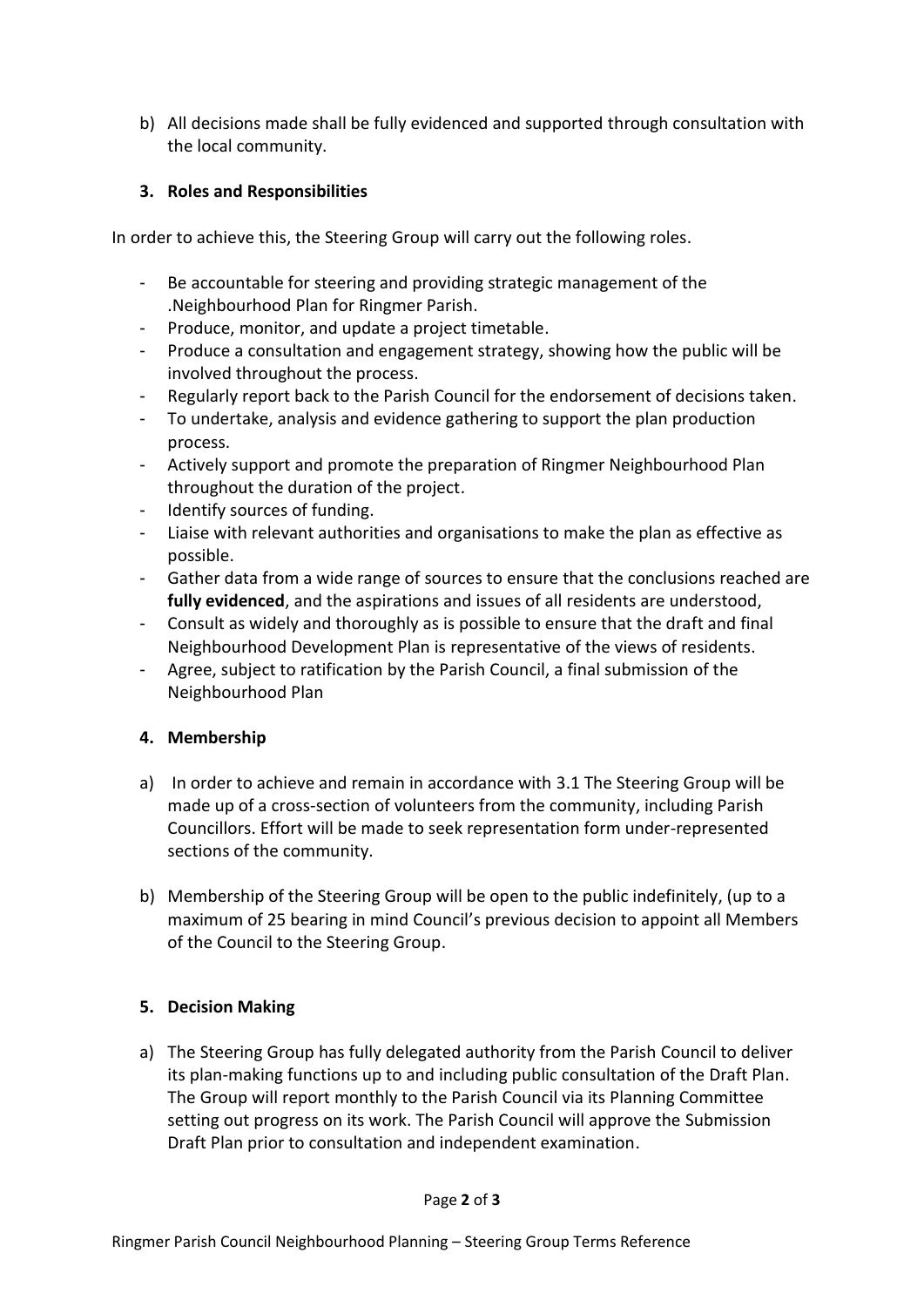b) All decisions made shall be fully evidenced and supported through consultation with the local community.

## **3. Roles and Responsibilities**

In order to achieve this, the Steering Group will carry out the following roles.

- Be accountable for steering and providing strategic management of the .Neighbourhood Plan for Ringmer Parish.
- Produce, monitor, and update a project timetable.
- Produce a consultation and engagement strategy, showing how the public will be involved throughout the process.
- Regularly report back to the Parish Council for the endorsement of decisions taken.
- To undertake, analysis and evidence gathering to support the plan production process.
- Actively support and promote the preparation of Ringmer Neighbourhood Plan throughout the duration of the project.
- Identify sources of funding.
- Liaise with relevant authorities and organisations to make the plan as effective as possible.
- Gather data from a wide range of sources to ensure that the conclusions reached are **fully evidenced**, and the aspirations and issues of all residents are understood,
- Consult as widely and thoroughly as is possible to ensure that the draft and final Neighbourhood Development Plan is representative of the views of residents.
- Agree, subject to ratification by the Parish Council, a final submission of the Neighbourhood Plan

### **4. Membership**

- a) In order to achieve and remain in accordance with 3.1 The Steering Group will be made up of a cross-section of volunteers from the community, including Parish Councillors. Effort will be made to seek representation form under-represented sections of the community.
- b) Membership of the Steering Group will be open to the public indefinitely, (up to a maximum of 25 bearing in mind Council's previous decision to appoint all Members of the Council to the Steering Group.

# **5. Decision Making**

a) The Steering Group has fully delegated authority from the Parish Council to deliver its plan-making functions up to and including public consultation of the Draft Plan. The Group will report monthly to the Parish Council via its Planning Committee setting out progress on its work. The Parish Council will approve the Submission Draft Plan prior to consultation and independent examination.